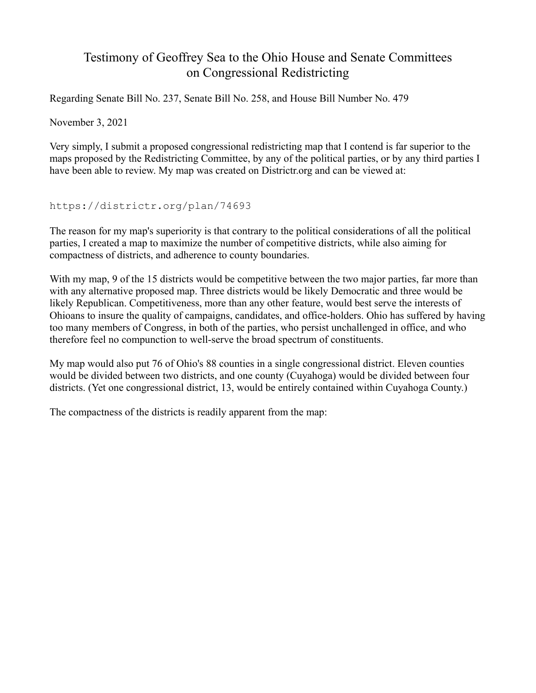## Testimony of Geoffrey Sea to the Ohio House and Senate Committees on Congressional Redistricting

Regarding Senate Bill No. 237, Senate Bill No. 258, and House Bill Number No. 479

November 3, 2021

Very simply, I submit a proposed congressional redistricting map that I contend is far superior to the maps proposed by the Redistricting Committee, by any of the political parties, or by any third parties I have been able to review. My map was created on Districtr.org and can be viewed at:

https://districtr.org/plan/74693

The reason for my map's superiority is that contrary to the political considerations of all the political parties, I created a map to maximize the number of competitive districts, while also aiming for compactness of districts, and adherence to county boundaries.

With my map, 9 of the 15 districts would be competitive between the two major parties, far more than with any alternative proposed map. Three districts would be likely Democratic and three would be likely Republican. Competitiveness, more than any other feature, would best serve the interests of Ohioans to insure the quality of campaigns, candidates, and office-holders. Ohio has suffered by having too many members of Congress, in both of the parties, who persist unchallenged in office, and who therefore feel no compunction to well-serve the broad spectrum of constituents.

My map would also put 76 of Ohio's 88 counties in a single congressional district. Eleven counties would be divided between two districts, and one county (Cuyahoga) would be divided between four districts. (Yet one congressional district, 13, would be entirely contained within Cuyahoga County.)

The compactness of the districts is readily apparent from the map: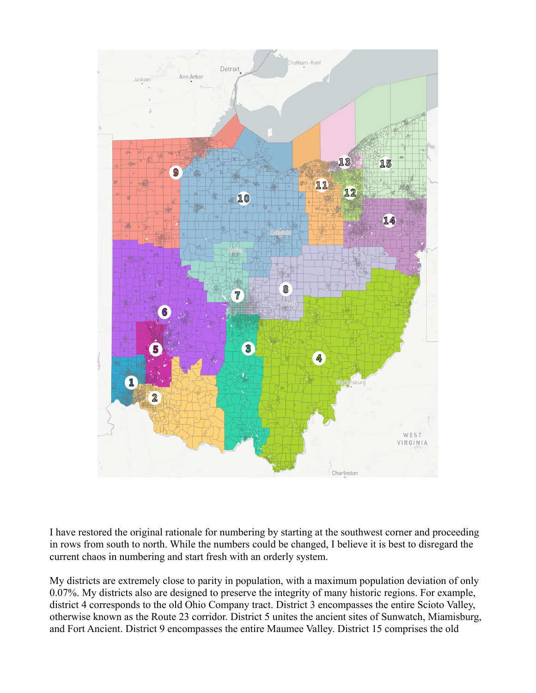

I have restored the original rationale for numbering by starting at the southwest corner and proceeding in rows from south to north. While the numbers could be changed, I believe it is best to disregard the current chaos in numbering and start fresh with an orderly system.

My districts are extremely close to parity in population, with a maximum population deviation of only 0.07%. My districts also are designed to preserve the integrity of many historic regions. For example, district 4 corresponds to the old Ohio Company tract. District 3 encompasses the entire Scioto Valley, otherwise known as the Route 23 corridor. District 5 unites the ancient sites of Sunwatch, Miamisburg, and Fort Ancient. District 9 encompasses the entire Maumee Valley. District 15 comprises the old